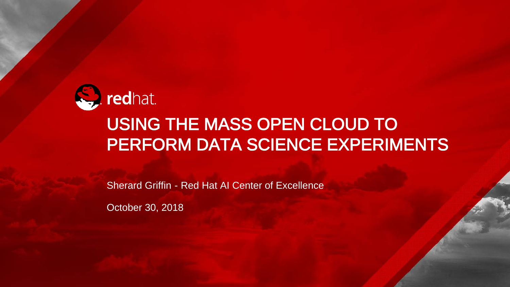

#### USING THE MASS OPEN CLOUD TO PERFORM DATA SCIENCE EXPERIMENTS

Sherard Griffin - Red Hat AI Center of Excellence

October 30, 2018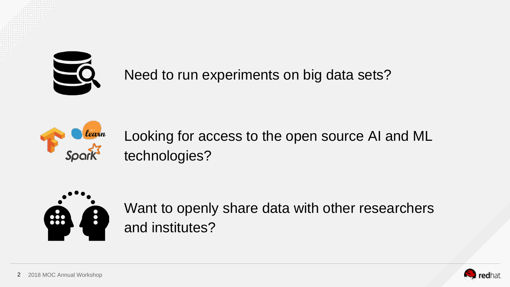

Need to run experiments on big data sets?



Looking for access to the open source AI and ML technologies?



Want to openly share data with other researchers and institutes?

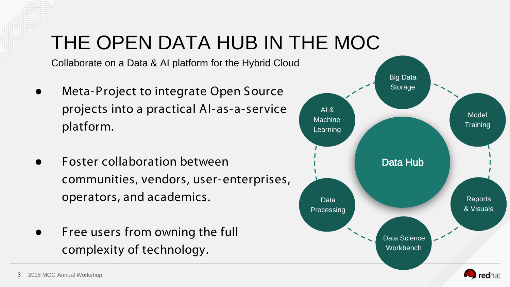# THE OPEN DATA HUB IN THE MOC

Collaborate on a Data & AI platform for the Hybrid Cloud

- Meta-Project to integrate Open Source projects into a practical AI-as-a-service platform.
- **Foster collaboration between** communities, vendors, user-enterprises, operators, and academics.
- Free users from owning the full complexity of technology.

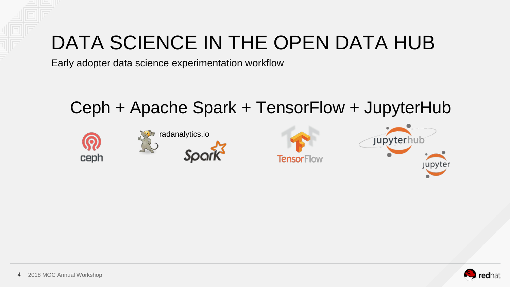## DATA SCIENCE IN THE OPEN DATA HUB

Early adopter data science experimentation workflow

#### Ceph + Apache Spark + TensorFlow + JupyterHub



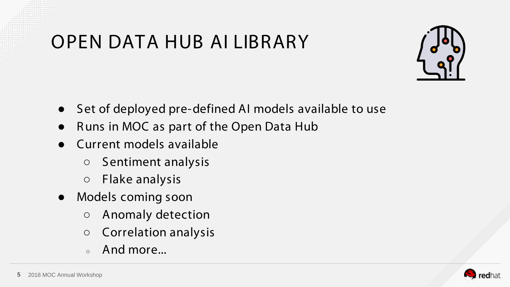## OPEN DATA HUB AI LIBRARY



- Set of deployed pre-defined AI models available to use
- Runs in MOC as part of the Open Data Hub
- Current models available
	- Sentiment analysis
	- Flake analysis
- Models coming soon
	- Anomaly detection
	- Correlation analysis
	- And more...

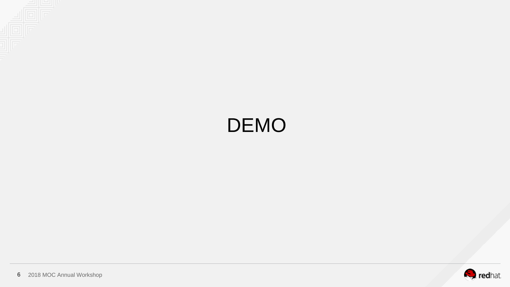

### DEMO

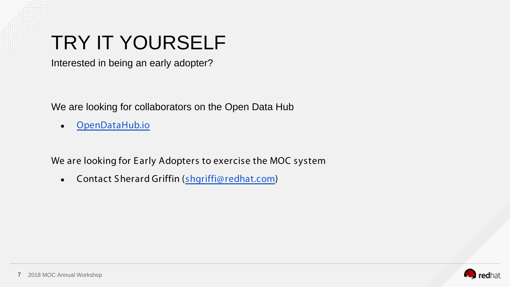

## TRY IT YOURSELF

Interested in being an early adopter?

We are looking for collaborators on the Open Data Hub

● [OpenDataHub.io](http://www.opendatahub.io)

We are looking for Early Adopters to exercise the MOC system

• Contact Sherard Griffin ([shgriffi@redhat.com](mailto:shgriffi@redhat.com))